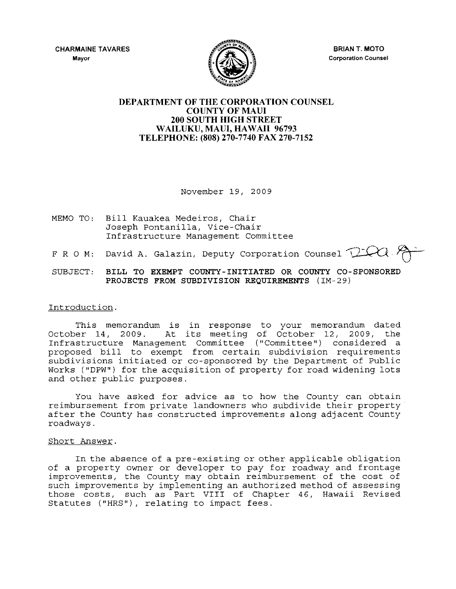**CHARMAINE TAVARES Mayor** 



**BRIAN T. MOTO Corporation Counsel** 

## **DEPARTMENT OF THE CORPORATION COUNSEL COUNTY OF MAUl 200 SOUTH HIGH STREET**  WAILUKU, MAUI, HAWAII 96793 **TELEPHONE: (808) 270-7740 FAX 270-7152**

November 19, 2009

- MEMO TO: Bill Kauakea Medeiros, Chair Joseph Pontanilla, Vice-Chair Infrastructure Management Committee
- F R O M: David A. Galazin, Deputy Corporation Counsel  $\Box$
- SUBJECT: **BILL TO EXEMPT COUNTY-INITIATED OR COUNTY CO-SPONSORED PROJECTS FROM SUBDIVISION REQUIREMENTS** (IM-29)

## Introduction.

This memorandum is in response to your memorandum dated October 14, 2009. At its meeting of October 12, 2009, the Infrastructure Management Committee ("Committee") considered a proposed bill to exempt from certain subdivision requirements subdivisions initiated or co-sponsored by the Department of Public Works ("DPW") for the acquisition of property for road widening lots and other public purposes.

You have asked for advice as to how the County can obtain reimbursement from private landowners who subdivide their property after the County has constructed improvements along adjacent County roadways.

## Short Answer.

In the absence of a pre-existing or other applicable obligation of a property owner or developer to pay for roadway and frontage improvements, the County may obtain reimbursement of the cost of such improvements by implementing an authorized method of assessing those costs, such as Part VIII of Chapter 46, Hawaii Revised Statutes ("HRS"), relating to impact fees.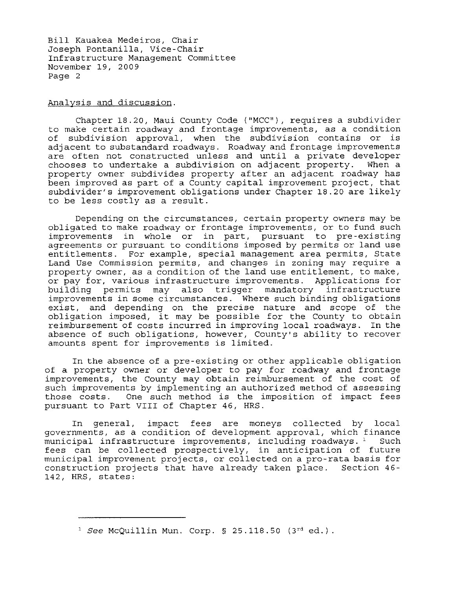Bill Kauakea Medeiros, Chair Joseph Pontanilla, Vice-Chair Infrastructure Management Committee November 19, 2009 Page 2

Analysis and discussion.

Chapter 18.20, Maui County Code ("MCC"), requires a subdivider to make certain roadway and frontage improvements, as a condition of subdivision approval, when the subdivision contains or is adjacent to substandard roadways. Roadway and frontage improvements are often not constructed unless and until a private developer<br>chooses to undertake a subdivision on adiacent property. When a chooses to undertake a subdivision on adjacent property. property owner subdivides property after an adjacent roadway has been improved as part of a County capital improvement project, that subdivider's improvement obligations under Chapter 18.20 are likely to be less costly as a result.

Depending on the circumstances, certain property owners may be obligated to make roadway or frontage improvements, or to fund such improvements in whole or in part, pursuant to pre-existing agreements or pursuant to conditions imposed by permits or land use entitlements. For example, special management area permits, State Land Use Commission permits, and changes in zoning may require a property owner, as a condition of the land use entitlement, to make, or pay for, various infrastructure improvements. Applications for building permits may also trigger mandatory infrastructure improvements in some circumstances. Where such binding obligations exist, and depending on the precise nature and scope of the obligation imposed, it may be possible for the County to obtain reimbursement of costs incurred in improving local roadways. In the absence of such obligations, however, County's ability to recover amounts spent for improvements is limited.

In the absence of a pre-existing or other applicable obligation of a property owner or developer to pay for roadway and frontage improvements, the County may obtain reimbursement of the cost of such improvements by implementing an authorized method of assessing those costs. One such method is the imposition of impact fees pursuant to Part VIII of Chapter 46, HRS.

In general, impact fees are moneys collected by local governments, as a condition of development approval, which finance municipal infrastructure improvements, including roadways.  $1$  Such fees can be collected prospectively, in anticipation of future municipal improvement projects, or collected on a pro-rata basis for construction projects that have already taken place. Section 46- 142, HRS, states:

<sup>&</sup>lt;sup>1</sup> See McQuillin Mun. Corp. § 25.118.50 (3rd ed.).